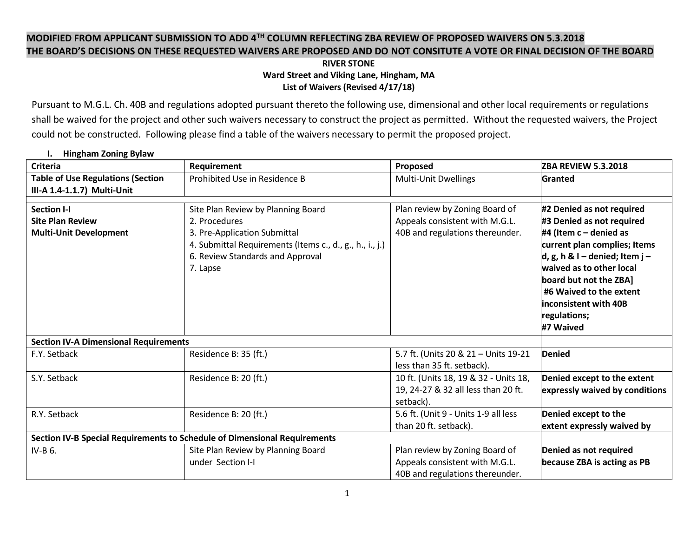# **MODIFIED FROM APPLICANT SUBMISSION TO ADD 4TH COLUMN REFLECTING ZBA REVIEW OF PROPOSED WAIVERS ON 5.3.2018 THE BOARD'S DECISIONS ON THESE REQUESTED WAIVERS ARE PROPOSED AND DO NOT CONSITUTE A VOTE OR FINAL DECISION OF THE BOARD**

#### **RIVER STONE Ward Street and Viking Lane, Hingham, MA List of Waivers (Revised 4/17/18)**

Pursuant to M.G.L. Ch. 40B and regulations adopted pursuant thereto the following use, dimensional and other local requirements or regulations shall be waived for the project and other such waivers necessary to construct the project as permitted. Without the requested waivers, the Project could not be constructed. Following please find a table of the waivers necessary to permit the proposed project.

| <b>Criteria</b>                                                                | Requirement                                                                                                                                                                                     | Proposed                                                                                            | <b>ZBA REVIEW 5.3.2018</b>                                                                                                                                                                                                                                                                  |
|--------------------------------------------------------------------------------|-------------------------------------------------------------------------------------------------------------------------------------------------------------------------------------------------|-----------------------------------------------------------------------------------------------------|---------------------------------------------------------------------------------------------------------------------------------------------------------------------------------------------------------------------------------------------------------------------------------------------|
| <b>Table of Use Regulations (Section</b>                                       | Prohibited Use in Residence B                                                                                                                                                                   | <b>Multi-Unit Dwellings</b>                                                                         | Granted                                                                                                                                                                                                                                                                                     |
| III-A 1.4-1.1.7) Multi-Unit                                                    |                                                                                                                                                                                                 |                                                                                                     |                                                                                                                                                                                                                                                                                             |
| <b>Section I-I</b><br><b>Site Plan Review</b><br><b>Multi-Unit Development</b> | Site Plan Review by Planning Board<br>2. Procedures<br>3. Pre-Application Submittal<br>4. Submittal Requirements (Items c., d., g., h., i., j.)<br>6. Review Standards and Approval<br>7. Lapse | Plan review by Zoning Board of<br>Appeals consistent with M.G.L.<br>40B and regulations thereunder. | #2 Denied as not required<br>#3 Denied as not required<br>#4 (Item $c -$ denied as<br>current plan complies; Items<br>d, g, h & I – denied; Item j –<br>waived as to other local<br>board but not the ZBA]<br>#6 Waived to the extent<br>inconsistent with 40B<br>regulations;<br>#7 Waived |
| <b>Section IV-A Dimensional Requirements</b>                                   |                                                                                                                                                                                                 |                                                                                                     |                                                                                                                                                                                                                                                                                             |
| F.Y. Setback                                                                   | Residence B: 35 (ft.)                                                                                                                                                                           | 5.7 ft. (Units 20 & 21 - Units 19-21<br>less than 35 ft. setback).                                  | <b>Denied</b>                                                                                                                                                                                                                                                                               |
| S.Y. Setback                                                                   | Residence B: 20 (ft.)                                                                                                                                                                           | 10 ft. (Units 18, 19 & 32 - Units 18,<br>19, 24-27 & 32 all less than 20 ft.<br>setback).           | Denied except to the extent<br>expressly waived by conditions                                                                                                                                                                                                                               |
| R.Y. Setback                                                                   | Residence B: 20 (ft.)                                                                                                                                                                           | 5.6 ft. (Unit 9 - Units 1-9 all less<br>than 20 ft. setback).                                       | Denied except to the<br>extent expressly waived by                                                                                                                                                                                                                                          |
| Section IV-B Special Requirements to Schedule of Dimensional Requirements      |                                                                                                                                                                                                 |                                                                                                     |                                                                                                                                                                                                                                                                                             |
| $IV-B6$ .                                                                      | Site Plan Review by Planning Board                                                                                                                                                              | Plan review by Zoning Board of                                                                      | Denied as not required                                                                                                                                                                                                                                                                      |
|                                                                                | under Section I-I                                                                                                                                                                               | Appeals consistent with M.G.L.                                                                      | because ZBA is acting as PB                                                                                                                                                                                                                                                                 |
|                                                                                |                                                                                                                                                                                                 | 40B and regulations thereunder.                                                                     |                                                                                                                                                                                                                                                                                             |

## **I. Hingham Zoning Bylaw**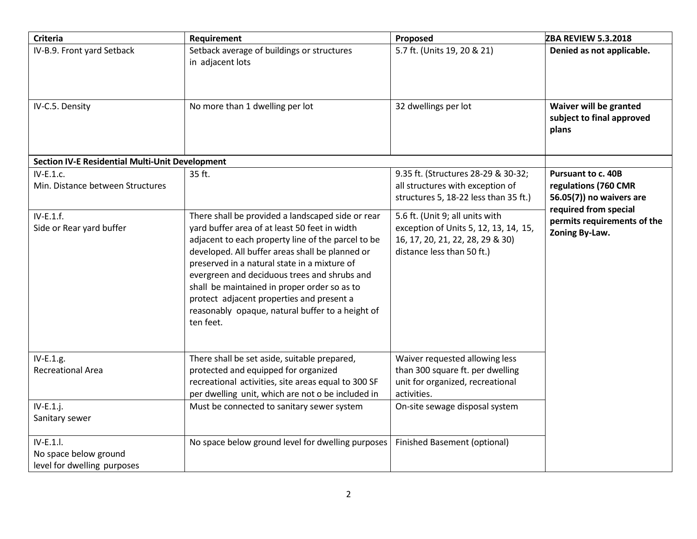| <b>Criteria</b>                                                      | Requirement                                                                                                                                                                                                                                                                                                                                                                                                                                                               | Proposed                                                                                                                                   | <b>ZBA REVIEW 5.3.2018</b>                                                                             |
|----------------------------------------------------------------------|---------------------------------------------------------------------------------------------------------------------------------------------------------------------------------------------------------------------------------------------------------------------------------------------------------------------------------------------------------------------------------------------------------------------------------------------------------------------------|--------------------------------------------------------------------------------------------------------------------------------------------|--------------------------------------------------------------------------------------------------------|
| IV-B.9. Front yard Setback                                           | Setback average of buildings or structures<br>in adjacent lots                                                                                                                                                                                                                                                                                                                                                                                                            | 5.7 ft. (Units 19, 20 & 21)                                                                                                                | Denied as not applicable.                                                                              |
| IV-C.5. Density                                                      | No more than 1 dwelling per lot                                                                                                                                                                                                                                                                                                                                                                                                                                           | 32 dwellings per lot                                                                                                                       | Waiver will be granted<br>subject to final approved<br>plans                                           |
| <b>Section IV-E Residential Multi-Unit Development</b>               |                                                                                                                                                                                                                                                                                                                                                                                                                                                                           |                                                                                                                                            |                                                                                                        |
| $IV-E.1.c.$<br>Min. Distance between Structures                      | 35 ft.                                                                                                                                                                                                                                                                                                                                                                                                                                                                    | 9.35 ft. (Structures 28-29 & 30-32;<br>all structures with exception of<br>structures 5, 18-22 less than 35 ft.)                           | <b>Pursuant to c. 40B</b><br>regulations (760 CMR<br>56.05(7)) no waivers are<br>required from special |
| $IV-E.1.f.$<br>Side or Rear yard buffer                              | There shall be provided a landscaped side or rear<br>yard buffer area of at least 50 feet in width<br>adjacent to each property line of the parcel to be<br>developed. All buffer areas shall be planned or<br>preserved in a natural state in a mixture of<br>evergreen and deciduous trees and shrubs and<br>shall be maintained in proper order so as to<br>protect adjacent properties and present a<br>reasonably opaque, natural buffer to a height of<br>ten feet. | 5.6 ft. (Unit 9; all units with<br>exception of Units 5, 12, 13, 14, 15,<br>16, 17, 20, 21, 22, 28, 29 & 30)<br>distance less than 50 ft.) | permits requirements of the<br>Zoning By-Law.                                                          |
| IV-E.1.g.<br><b>Recreational Area</b>                                | There shall be set aside, suitable prepared,<br>protected and equipped for organized<br>recreational activities, site areas equal to 300 SF<br>per dwelling unit, which are not o be included in                                                                                                                                                                                                                                                                          | Waiver requested allowing less<br>than 300 square ft. per dwelling<br>unit for organized, recreational<br>activities.                      |                                                                                                        |
| $IV-E.1.$ j.<br>Sanitary sewer                                       | Must be connected to sanitary sewer system                                                                                                                                                                                                                                                                                                                                                                                                                                | On-site sewage disposal system                                                                                                             |                                                                                                        |
| $IV-E.1.1$ .<br>No space below ground<br>level for dwelling purposes | No space below ground level for dwelling purposes                                                                                                                                                                                                                                                                                                                                                                                                                         | <b>Finished Basement (optional)</b>                                                                                                        |                                                                                                        |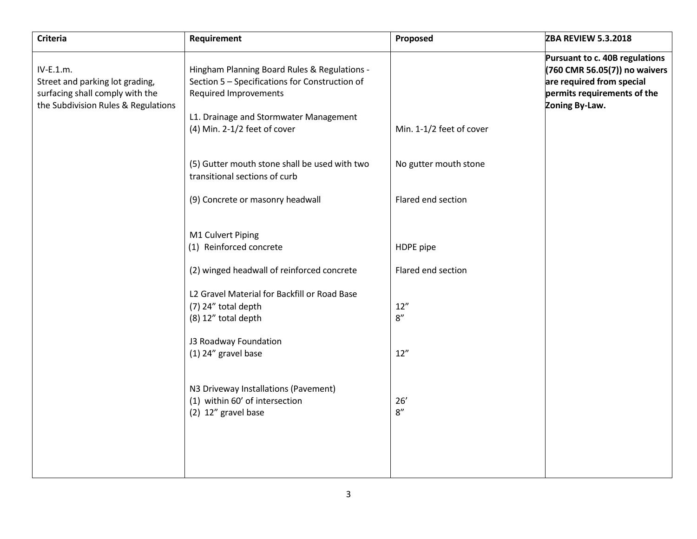| <b>Criteria</b>                                                                                                        | Requirement                                                                                                                                                                                              | Proposed                 | <b>ZBA REVIEW 5.3.2018</b>                                                                                                                    |
|------------------------------------------------------------------------------------------------------------------------|----------------------------------------------------------------------------------------------------------------------------------------------------------------------------------------------------------|--------------------------|-----------------------------------------------------------------------------------------------------------------------------------------------|
| IV-E.1.m.<br>Street and parking lot grading,<br>surfacing shall comply with the<br>the Subdivision Rules & Regulations | Hingham Planning Board Rules & Regulations -<br>Section 5 - Specifications for Construction of<br><b>Required Improvements</b><br>L1. Drainage and Stormwater Management<br>(4) Min. 2-1/2 feet of cover | Min. 1-1/2 feet of cover | Pursuant to c. 40B regulations<br>(760 CMR 56.05(7)) no waivers<br>are required from special<br>permits requirements of the<br>Zoning By-Law. |
|                                                                                                                        | (5) Gutter mouth stone shall be used with two<br>transitional sections of curb                                                                                                                           | No gutter mouth stone    |                                                                                                                                               |
|                                                                                                                        | (9) Concrete or masonry headwall                                                                                                                                                                         | Flared end section       |                                                                                                                                               |
|                                                                                                                        | M1 Culvert Piping<br>(1) Reinforced concrete                                                                                                                                                             | HDPE pipe                |                                                                                                                                               |
|                                                                                                                        | (2) winged headwall of reinforced concrete                                                                                                                                                               | Flared end section       |                                                                                                                                               |
|                                                                                                                        | L2 Gravel Material for Backfill or Road Base<br>(7) 24" total depth<br>(8) 12" total depth<br>J3 Roadway Foundation                                                                                      | 12''<br>8''              |                                                                                                                                               |
|                                                                                                                        | (1) 24" gravel base                                                                                                                                                                                      | 12"                      |                                                                                                                                               |
|                                                                                                                        | N3 Driveway Installations (Pavement)<br>(1) within 60' of intersection<br>(2) 12" gravel base                                                                                                            | 26'<br>8"                |                                                                                                                                               |
|                                                                                                                        |                                                                                                                                                                                                          |                          |                                                                                                                                               |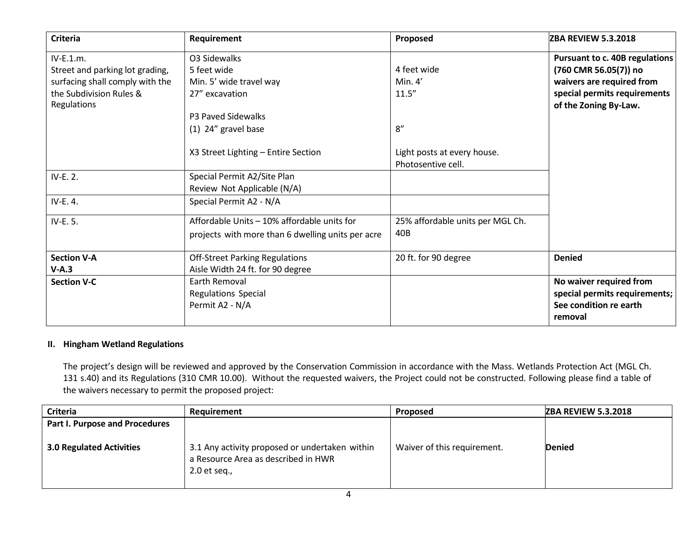| <b>Criteria</b>                 | <b>Requirement</b>                                | Proposed                         | <b>ZBA REVIEW 5.3.2018</b>            |
|---------------------------------|---------------------------------------------------|----------------------------------|---------------------------------------|
| IV-E.1.m.                       | O3 Sidewalks                                      |                                  | <b>Pursuant to c. 40B regulations</b> |
| Street and parking lot grading, | 5 feet wide                                       | 4 feet wide                      | (760 CMR 56.05(7)) no                 |
| surfacing shall comply with the | Min. 5' wide travel way                           | Min. $4'$                        | waivers are required from             |
| the Subdivision Rules &         | 27" excavation                                    | 11.5''                           | special permits requirements          |
| Regulations                     |                                                   |                                  | of the Zoning By-Law.                 |
|                                 | P3 Paved Sidewalks                                |                                  |                                       |
|                                 | $(1)$ 24" gravel base                             | 8''                              |                                       |
|                                 |                                                   |                                  |                                       |
|                                 | X3 Street Lighting - Entire Section               | Light posts at every house.      |                                       |
|                                 |                                                   | Photosentive cell.               |                                       |
| IV-E. 2.                        | Special Permit A2/Site Plan                       |                                  |                                       |
|                                 | Review Not Applicable (N/A)                       |                                  |                                       |
| IV-E. 4.                        | Special Permit A2 - N/A                           |                                  |                                       |
| IV-E. 5.                        | Affordable Units - 10% affordable units for       | 25% affordable units per MGL Ch. |                                       |
|                                 | projects with more than 6 dwelling units per acre | 40B                              |                                       |
| <b>Section V-A</b>              | <b>Off-Street Parking Regulations</b>             | 20 ft. for 90 degree             | <b>Denied</b>                         |
| $V-A.3$                         | Aisle Width 24 ft. for 90 degree                  |                                  |                                       |
| <b>Section V-C</b>              | Earth Removal                                     |                                  | No waiver required from               |
|                                 | Regulations Special                               |                                  | special permits requirements;         |
|                                 | Permit A2 - N/A                                   |                                  | See condition re earth                |
|                                 |                                                   |                                  | removal                               |

#### **II. Hingham Wetland Regulations**

The project's design will be reviewed and approved by the Conservation Commission in accordance with the Mass. Wetlands Protection Act (MGL Ch. 131 s.40) and its Regulations (310 CMR 10.00). Without the requested waivers, the Project could not be constructed. Following please find a table of the waivers necessary to permit the proposed project:

| Criteria                        | <b>Requirement</b>                                                                                      | Proposed                    | <b>ZBA REVIEW 5.3.2018</b> |
|---------------------------------|---------------------------------------------------------------------------------------------------------|-----------------------------|----------------------------|
| Part I. Purpose and Procedures  |                                                                                                         |                             |                            |
| <b>3.0 Regulated Activities</b> | 3.1 Any activity proposed or undertaken within<br>a Resource Area as described in HWR<br>$2.0$ et seq., | Waiver of this requirement. | <b>Denied</b>              |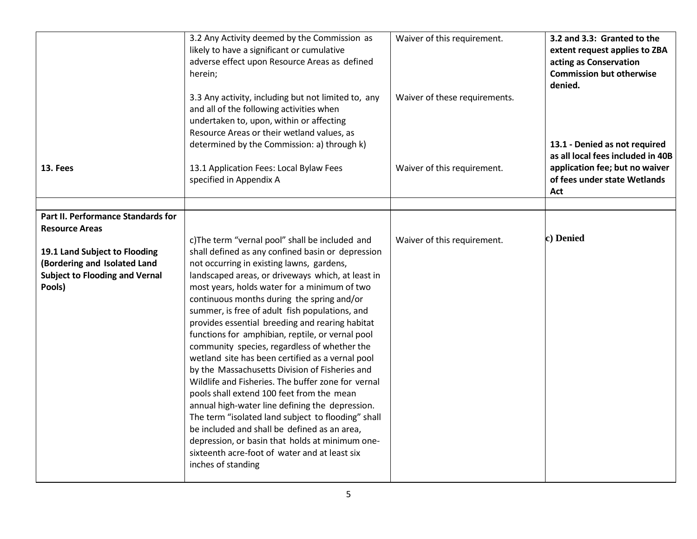|                                                                                                                  | 3.2 Any Activity deemed by the Commission as<br>likely to have a significant or cumulative<br>adverse effect upon Resource Areas as defined<br>herein;<br>3.3 Any activity, including but not limited to, any<br>and all of the following activities when<br>undertaken to, upon, within or affecting<br>Resource Areas or their wetland values, as<br>determined by the Commission: a) through k)                                                                                                                                                                                                                                                                                                                                                                                                                                                                                                                                                                                                       | Waiver of this requirement.<br>Waiver of these requirements. | 3.2 and 3.3: Granted to the<br>extent request applies to ZBA<br>acting as Conservation<br><b>Commission but otherwise</b><br>denied.<br>13.1 - Denied as not required<br>as all local fees included in 40B |
|------------------------------------------------------------------------------------------------------------------|----------------------------------------------------------------------------------------------------------------------------------------------------------------------------------------------------------------------------------------------------------------------------------------------------------------------------------------------------------------------------------------------------------------------------------------------------------------------------------------------------------------------------------------------------------------------------------------------------------------------------------------------------------------------------------------------------------------------------------------------------------------------------------------------------------------------------------------------------------------------------------------------------------------------------------------------------------------------------------------------------------|--------------------------------------------------------------|------------------------------------------------------------------------------------------------------------------------------------------------------------------------------------------------------------|
| 13. Fees                                                                                                         | 13.1 Application Fees: Local Bylaw Fees<br>specified in Appendix A                                                                                                                                                                                                                                                                                                                                                                                                                                                                                                                                                                                                                                                                                                                                                                                                                                                                                                                                       | Waiver of this requirement.                                  | application fee; but no waiver<br>of fees under state Wetlands<br>Act                                                                                                                                      |
| Part II. Performance Standards for                                                                               |                                                                                                                                                                                                                                                                                                                                                                                                                                                                                                                                                                                                                                                                                                                                                                                                                                                                                                                                                                                                          |                                                              |                                                                                                                                                                                                            |
| <b>Resource Areas</b>                                                                                            |                                                                                                                                                                                                                                                                                                                                                                                                                                                                                                                                                                                                                                                                                                                                                                                                                                                                                                                                                                                                          |                                                              |                                                                                                                                                                                                            |
| 19.1 Land Subject to Flooding<br>(Bordering and Isolated Land<br><b>Subject to Flooding and Vernal</b><br>Pools) | c)The term "vernal pool" shall be included and<br>shall defined as any confined basin or depression<br>not occurring in existing lawns, gardens,<br>landscaped areas, or driveways which, at least in<br>most years, holds water for a minimum of two<br>continuous months during the spring and/or<br>summer, is free of adult fish populations, and<br>provides essential breeding and rearing habitat<br>functions for amphibian, reptile, or vernal pool<br>community species, regardless of whether the<br>wetland site has been certified as a vernal pool<br>by the Massachusetts Division of Fisheries and<br>Wildlife and Fisheries. The buffer zone for vernal<br>pools shall extend 100 feet from the mean<br>annual high-water line defining the depression.<br>The term "isolated land subject to flooding" shall<br>be included and shall be defined as an area,<br>depression, or basin that holds at minimum one-<br>sixteenth acre-foot of water and at least six<br>inches of standing | Waiver of this requirement.                                  | c) Denied                                                                                                                                                                                                  |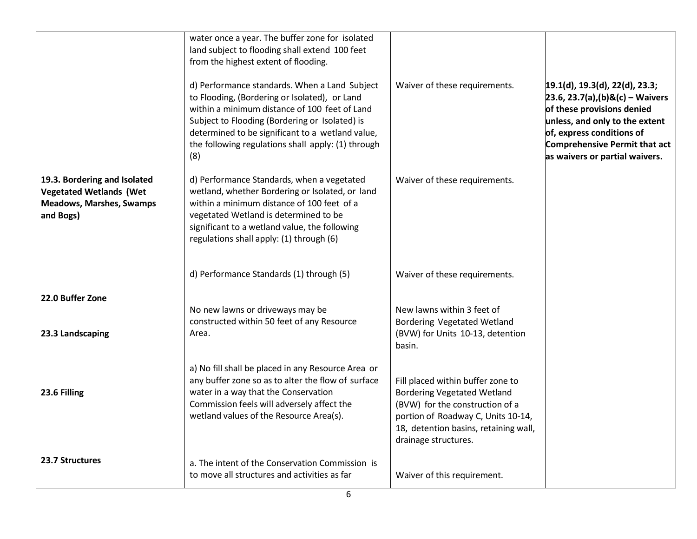|                                                                                                                | water once a year. The buffer zone for isolated<br>land subject to flooding shall extend 100 feet<br>from the highest extent of flooding.                                                                                                                                                                          |                                                                                                                                                                                                                   |                                                                                                                                                                                                                                        |
|----------------------------------------------------------------------------------------------------------------|--------------------------------------------------------------------------------------------------------------------------------------------------------------------------------------------------------------------------------------------------------------------------------------------------------------------|-------------------------------------------------------------------------------------------------------------------------------------------------------------------------------------------------------------------|----------------------------------------------------------------------------------------------------------------------------------------------------------------------------------------------------------------------------------------|
|                                                                                                                | d) Performance standards. When a Land Subject<br>to Flooding, (Bordering or Isolated), or Land<br>within a minimum distance of 100 feet of Land<br>Subject to Flooding (Bordering or Isolated) is<br>determined to be significant to a wetland value,<br>the following regulations shall apply: (1) through<br>(8) | Waiver of these requirements.                                                                                                                                                                                     | 19.1(d), 19.3(d), 22(d), 23.3;<br>$[23.6, 23.7(a), (b)$ &(c) – Waivers<br>of these provisions denied<br>unless, and only to the extent<br>of, express conditions of<br>Comprehensive Permit that act<br>as waivers or partial waivers. |
| 19.3. Bordering and Isolated<br><b>Vegetated Wetlands (Wet</b><br><b>Meadows, Marshes, Swamps</b><br>and Bogs) | d) Performance Standards, when a vegetated<br>wetland, whether Bordering or Isolated, or land<br>within a minimum distance of 100 feet of a<br>vegetated Wetland is determined to be<br>significant to a wetland value, the following<br>regulations shall apply: (1) through (6)                                  | Waiver of these requirements.                                                                                                                                                                                     |                                                                                                                                                                                                                                        |
|                                                                                                                | d) Performance Standards (1) through (5)                                                                                                                                                                                                                                                                           | Waiver of these requirements.                                                                                                                                                                                     |                                                                                                                                                                                                                                        |
| 22.0 Buffer Zone                                                                                               | No new lawns or driveways may be                                                                                                                                                                                                                                                                                   | New lawns within 3 feet of                                                                                                                                                                                        |                                                                                                                                                                                                                                        |
| 23.3 Landscaping                                                                                               | constructed within 50 feet of any Resource<br>Area.                                                                                                                                                                                                                                                                | Bordering Vegetated Wetland<br>(BVW) for Units 10-13, detention<br>basin.                                                                                                                                         |                                                                                                                                                                                                                                        |
| 23.6 Filling                                                                                                   | a) No fill shall be placed in any Resource Area or<br>any buffer zone so as to alter the flow of surface<br>water in a way that the Conservation<br>Commission feels will adversely affect the<br>wetland values of the Resource Area(s).                                                                          | Fill placed within buffer zone to<br><b>Bordering Vegetated Wetland</b><br>(BVW) for the construction of a<br>portion of Roadway C, Units 10-14,<br>18, detention basins, retaining wall,<br>drainage structures. |                                                                                                                                                                                                                                        |
| 23.7 Structures                                                                                                | a. The intent of the Conservation Commission is<br>to move all structures and activities as far                                                                                                                                                                                                                    | Waiver of this requirement.                                                                                                                                                                                       |                                                                                                                                                                                                                                        |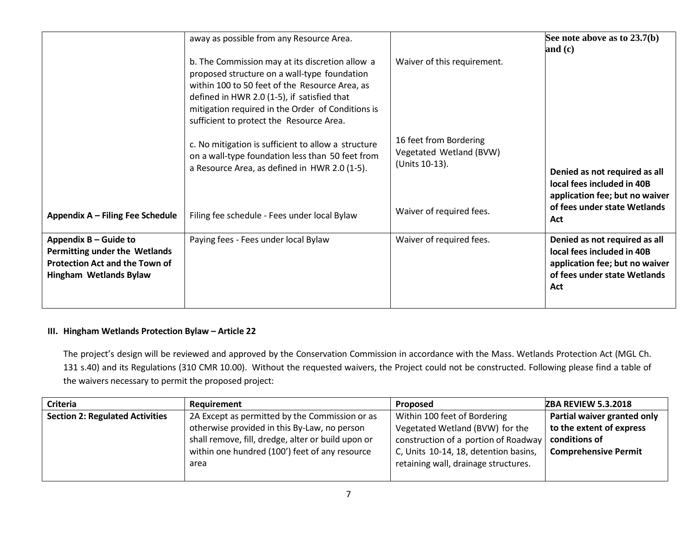|                                                                                                                                  | away as possible from any Resource Area.                                                                                                                                                                                                                                                          | Waiver of this requirement.                                         | See note above as to $23.7(b)$<br>and $(c)$                                                                                          |
|----------------------------------------------------------------------------------------------------------------------------------|---------------------------------------------------------------------------------------------------------------------------------------------------------------------------------------------------------------------------------------------------------------------------------------------------|---------------------------------------------------------------------|--------------------------------------------------------------------------------------------------------------------------------------|
|                                                                                                                                  | b. The Commission may at its discretion allow a<br>proposed structure on a wall-type foundation<br>within 100 to 50 feet of the Resource Area, as<br>defined in HWR 2.0 (1-5), if satisfied that<br>mitigation required in the Order of Conditions is<br>sufficient to protect the Resource Area. |                                                                     |                                                                                                                                      |
|                                                                                                                                  | c. No mitigation is sufficient to allow a structure<br>on a wall-type foundation less than 50 feet from<br>a Resource Area, as defined in HWR 2.0 (1-5).                                                                                                                                          | 16 feet from Bordering<br>Vegetated Wetland (BVW)<br>(Units 10-13). | Denied as not required as all<br>local fees included in 40B<br>application fee; but no waiver                                        |
| Appendix A - Filing Fee Schedule                                                                                                 | Filing fee schedule - Fees under local Bylaw                                                                                                                                                                                                                                                      | Waiver of required fees.                                            | of fees under state Wetlands<br>Act                                                                                                  |
| Appendix B – Guide to<br>Permitting under the Wetlands<br><b>Protection Act and the Town of</b><br><b>Hingham Wetlands Bylaw</b> | Paying fees - Fees under local Bylaw                                                                                                                                                                                                                                                              | Waiver of required fees.                                            | Denied as not required as all<br>local fees included in 40B<br>application fee; but no waiver<br>of fees under state Wetlands<br>Act |

# **III. Hingham Wetlands Protection Bylaw – Article 22**

The project's design will be reviewed and approved by the Conservation Commission in accordance with the Mass. Wetlands Protection Act (MGL Ch. 131 s.40) and its Regulations (310 CMR 10.00). Without the requested waivers, the Project could not be constructed. Following please find a table of the waivers necessary to permit the proposed project:

| Criteria                               | Requirement                                        | <b>Proposed</b>                       | <b>ZBA REVIEW 5.3.2018</b>  |
|----------------------------------------|----------------------------------------------------|---------------------------------------|-----------------------------|
| <b>Section 2: Regulated Activities</b> | 2A Except as permitted by the Commission or as     | Within 100 feet of Bordering          | Partial waiver granted only |
|                                        | otherwise provided in this By-Law, no person       | Vegetated Wetland (BVW) for the       | to the extent of express    |
|                                        | shall remove, fill, dredge, alter or build upon or | construction of a portion of Roadway  | conditions of               |
|                                        | within one hundred (100') feet of any resource     | C, Units 10-14, 18, detention basins, | <b>Comprehensive Permit</b> |
|                                        | area                                               | retaining wall, drainage structures.  |                             |
|                                        |                                                    |                                       |                             |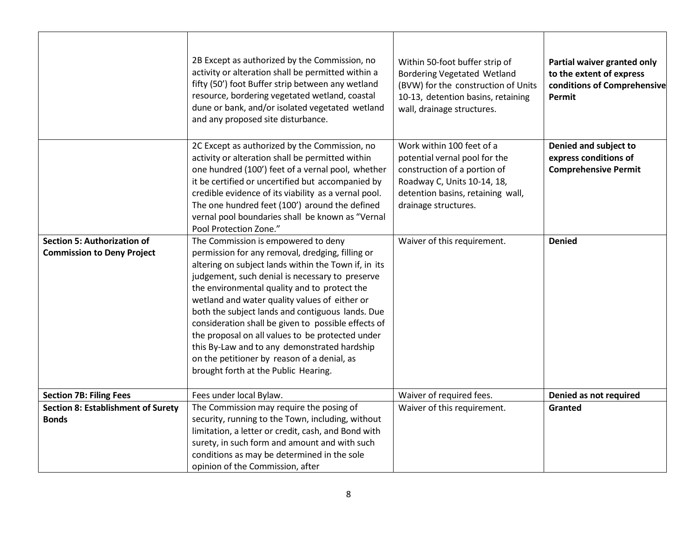|                                                                                             | 2B Except as authorized by the Commission, no<br>activity or alteration shall be permitted within a<br>fifty (50') foot Buffer strip between any wetland<br>resource, bordering vegetated wetland, coastal<br>dune or bank, and/or isolated vegetated wetland<br>and any proposed site disturbance.                                                                                                                                                                                                                                                                                                       | Within 50-foot buffer strip of<br><b>Bordering Vegetated Wetland</b><br>(BVW) for the construction of Units<br>10-13, detention basins, retaining<br>wall, drainage structures.        | Partial waiver granted only<br>to the extent of express<br>conditions of Comprehensive<br>Permit |
|---------------------------------------------------------------------------------------------|-----------------------------------------------------------------------------------------------------------------------------------------------------------------------------------------------------------------------------------------------------------------------------------------------------------------------------------------------------------------------------------------------------------------------------------------------------------------------------------------------------------------------------------------------------------------------------------------------------------|----------------------------------------------------------------------------------------------------------------------------------------------------------------------------------------|--------------------------------------------------------------------------------------------------|
|                                                                                             | 2C Except as authorized by the Commission, no<br>activity or alteration shall be permitted within<br>one hundred (100') feet of a vernal pool, whether<br>it be certified or uncertified but accompanied by<br>credible evidence of its viability as a vernal pool.<br>The one hundred feet (100') around the defined<br>vernal pool boundaries shall be known as "Vernal<br>Pool Protection Zone."                                                                                                                                                                                                       | Work within 100 feet of a<br>potential vernal pool for the<br>construction of a portion of<br>Roadway C, Units 10-14, 18,<br>detention basins, retaining wall,<br>drainage structures. | Denied and subject to<br>express conditions of<br><b>Comprehensive Permit</b>                    |
| <b>Section 5: Authorization of</b><br><b>Commission to Deny Project</b>                     | The Commission is empowered to deny<br>permission for any removal, dredging, filling or<br>altering on subject lands within the Town if, in its<br>judgement, such denial is necessary to preserve<br>the environmental quality and to protect the<br>wetland and water quality values of either or<br>both the subject lands and contiguous lands. Due<br>consideration shall be given to possible effects of<br>the proposal on all values to be protected under<br>this By-Law and to any demonstrated hardship<br>on the petitioner by reason of a denial, as<br>brought forth at the Public Hearing. | Waiver of this requirement.                                                                                                                                                            | <b>Denied</b>                                                                                    |
| <b>Section 7B: Filing Fees</b><br><b>Section 8: Establishment of Surety</b><br><b>Bonds</b> | Fees under local Bylaw.<br>The Commission may require the posing of<br>security, running to the Town, including, without<br>limitation, a letter or credit, cash, and Bond with<br>surety, in such form and amount and with such<br>conditions as may be determined in the sole<br>opinion of the Commission, after                                                                                                                                                                                                                                                                                       | Waiver of required fees.<br>Waiver of this requirement.                                                                                                                                | Denied as not required<br>Granted                                                                |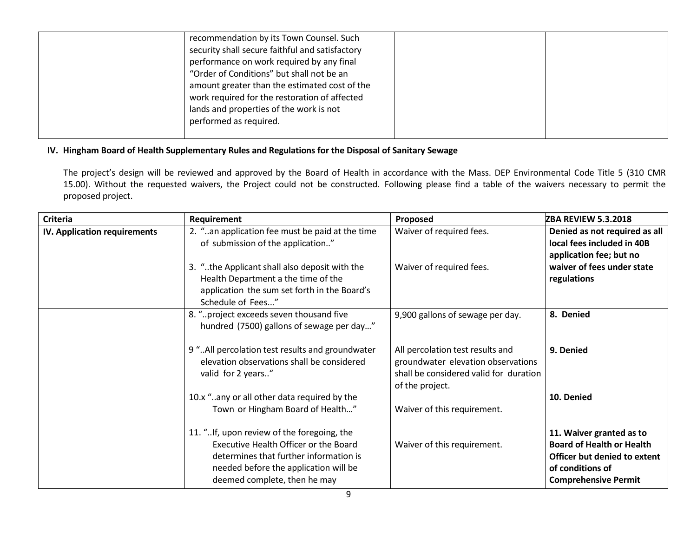| recommendation by its Town Counsel. Such<br>security shall secure faithful and satisfactory<br>performance on work required by any final<br>"Order of Conditions" but shall not be an<br>amount greater than the estimated cost of the<br>work required for the restoration of affected<br>lands and properties of the work is not<br>performed as required. |  |
|--------------------------------------------------------------------------------------------------------------------------------------------------------------------------------------------------------------------------------------------------------------------------------------------------------------------------------------------------------------|--|
|                                                                                                                                                                                                                                                                                                                                                              |  |

## **IV. Hingham Board of Health Supplementary Rules and Regulations for the Disposal of Sanitary Sewage**

The project's design will be reviewed and approved by the Board of Health in accordance with the Mass. DEP Environmental Code Title 5 (310 CMR 15.00). Without the requested waivers, the Project could not be constructed. Following please find a table of the waivers necessary to permit the proposed project.

|                              | Requirement                                                                                                                                                                                            | Proposed                                                                                                                            | <b>ZBA REVIEW 5.3.2018</b>                                                                                                                      |
|------------------------------|--------------------------------------------------------------------------------------------------------------------------------------------------------------------------------------------------------|-------------------------------------------------------------------------------------------------------------------------------------|-------------------------------------------------------------------------------------------------------------------------------------------------|
| IV. Application requirements | 2. "an application fee must be paid at the time<br>of submission of the application"                                                                                                                   | Waiver of required fees.                                                                                                            | Denied as not required as all<br>local fees included in 40B<br>application fee; but no                                                          |
|                              | 3. "the Applicant shall also deposit with the<br>Health Department a the time of the<br>application the sum set forth in the Board's<br>Schedule of Fees"                                              | Waiver of required fees.                                                                                                            | waiver of fees under state<br>regulations                                                                                                       |
|                              | 8. "project exceeds seven thousand five<br>hundred (7500) gallons of sewage per day"                                                                                                                   | 9,900 gallons of sewage per day.                                                                                                    | 8. Denied                                                                                                                                       |
|                              | 9 " All percolation test results and groundwater<br>elevation observations shall be considered<br>valid for 2 years"                                                                                   | All percolation test results and<br>groundwater elevation observations<br>shall be considered valid for duration<br>of the project. | 9. Denied                                                                                                                                       |
|                              | 10.x "any or all other data required by the<br>Town or Hingham Board of Health"                                                                                                                        | Waiver of this requirement.                                                                                                         | 10. Denied                                                                                                                                      |
|                              | 11. "If, upon review of the foregoing, the<br>Executive Health Officer or the Board<br>determines that further information is<br>needed before the application will be<br>deemed complete, then he may | Waiver of this requirement.                                                                                                         | 11. Waiver granted as to<br><b>Board of Health or Health</b><br>Officer but denied to extent<br>of conditions of<br><b>Comprehensive Permit</b> |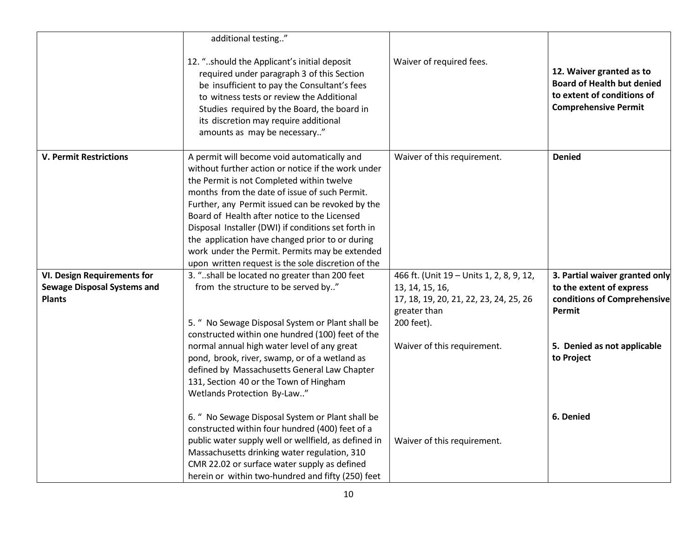|                                                     | additional testing"                                                                                                                                                                                                                                                                                                                                                                                                                                                                                                   |                                                                                         |                                                                                                                            |
|-----------------------------------------------------|-----------------------------------------------------------------------------------------------------------------------------------------------------------------------------------------------------------------------------------------------------------------------------------------------------------------------------------------------------------------------------------------------------------------------------------------------------------------------------------------------------------------------|-----------------------------------------------------------------------------------------|----------------------------------------------------------------------------------------------------------------------------|
|                                                     | 12. "should the Applicant's initial deposit<br>required under paragraph 3 of this Section<br>be insufficient to pay the Consultant's fees<br>to witness tests or review the Additional<br>Studies required by the Board, the board in<br>its discretion may require additional<br>amounts as may be necessary"                                                                                                                                                                                                        | Waiver of required fees.                                                                | 12. Waiver granted as to<br><b>Board of Health but denied</b><br>to extent of conditions of<br><b>Comprehensive Permit</b> |
| <b>V. Permit Restrictions</b>                       | A permit will become void automatically and<br>without further action or notice if the work under<br>the Permit is not Completed within twelve<br>months from the date of issue of such Permit.<br>Further, any Permit issued can be revoked by the<br>Board of Health after notice to the Licensed<br>Disposal Installer (DWI) if conditions set forth in<br>the application have changed prior to or during<br>work under the Permit. Permits may be extended<br>upon written request is the sole discretion of the | Waiver of this requirement.                                                             | <b>Denied</b>                                                                                                              |
| <b>VI. Design Requirements for</b>                  | 3. "shall be located no greater than 200 feet                                                                                                                                                                                                                                                                                                                                                                                                                                                                         | 466 ft. (Unit 19 - Units 1, 2, 8, 9, 12,                                                | 3. Partial waiver granted only                                                                                             |
| <b>Sewage Disposal Systems and</b><br><b>Plants</b> | from the structure to be served by"<br>5. " No Sewage Disposal System or Plant shall be<br>constructed within one hundred (100) feet of the                                                                                                                                                                                                                                                                                                                                                                           | 13, 14, 15, 16,<br>17, 18, 19, 20, 21, 22, 23, 24, 25, 26<br>greater than<br>200 feet). | to the extent of express<br>conditions of Comprehensive<br>Permit                                                          |
|                                                     | normal annual high water level of any great<br>pond, brook, river, swamp, or of a wetland as<br>defined by Massachusetts General Law Chapter<br>131, Section 40 or the Town of Hingham<br>Wetlands Protection By-Law"                                                                                                                                                                                                                                                                                                 | Waiver of this requirement.                                                             | 5. Denied as not applicable<br>to Project                                                                                  |
|                                                     | 6. " No Sewage Disposal System or Plant shall be<br>constructed within four hundred (400) feet of a<br>public water supply well or wellfield, as defined in<br>Massachusetts drinking water regulation, 310<br>CMR 22.02 or surface water supply as defined<br>herein or within two-hundred and fifty (250) feet                                                                                                                                                                                                      | Waiver of this requirement.                                                             | 6. Denied                                                                                                                  |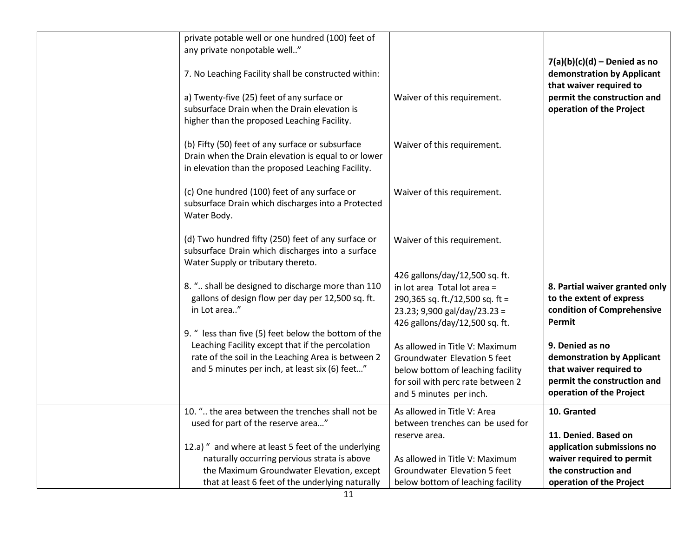| private potable well or one hundred (100) feet of<br>any private nonpotable well"<br>7. No Leaching Facility shall be constructed within:<br>a) Twenty-five (25) feet of any surface or<br>subsurface Drain when the Drain elevation is<br>higher than the proposed Leaching Facility. | Waiver of this requirement.                                                                                                                                         | $7(a)(b)(c)(d)$ – Denied as no<br>demonstration by Applicant<br>that waiver required to<br>permit the construction and<br>operation of the Project |
|----------------------------------------------------------------------------------------------------------------------------------------------------------------------------------------------------------------------------------------------------------------------------------------|---------------------------------------------------------------------------------------------------------------------------------------------------------------------|----------------------------------------------------------------------------------------------------------------------------------------------------|
| (b) Fifty (50) feet of any surface or subsurface<br>Drain when the Drain elevation is equal to or lower<br>in elevation than the proposed Leaching Facility.                                                                                                                           | Waiver of this requirement.                                                                                                                                         |                                                                                                                                                    |
| (c) One hundred (100) feet of any surface or<br>subsurface Drain which discharges into a Protected<br>Water Body.                                                                                                                                                                      | Waiver of this requirement.                                                                                                                                         |                                                                                                                                                    |
| (d) Two hundred fifty (250) feet of any surface or<br>subsurface Drain which discharges into a surface<br>Water Supply or tributary thereto.                                                                                                                                           | Waiver of this requirement.                                                                                                                                         |                                                                                                                                                    |
| 8. " shall be designed to discharge more than 110<br>gallons of design flow per day per 12,500 sq. ft.<br>in Lot area"<br>9. " less than five (5) feet below the bottom of the                                                                                                         | 426 gallons/day/12,500 sq. ft.<br>in lot area Total lot area =<br>290,365 sq. ft./12,500 sq. ft =<br>23.23; 9,900 gal/day/23.23 =<br>426 gallons/day/12,500 sq. ft. | 8. Partial waiver granted only<br>to the extent of express<br>condition of Comprehensive<br>Permit                                                 |
| Leaching Facility except that if the percolation<br>rate of the soil in the Leaching Area is between 2<br>and 5 minutes per inch, at least six (6) feet"                                                                                                                               | As allowed in Title V: Maximum<br>Groundwater Elevation 5 feet<br>below bottom of leaching facility<br>for soil with perc rate between 2<br>and 5 minutes per inch. | 9. Denied as no<br>demonstration by Applicant<br>that waiver required to<br>permit the construction and<br>operation of the Project                |
| 10. " the area between the trenches shall not be<br>used for part of the reserve area"                                                                                                                                                                                                 | As allowed in Title V: Area<br>between trenches can be used for<br>reserve area.                                                                                    | 10. Granted<br>11. Denied. Based on                                                                                                                |
| 12.a) " and where at least 5 feet of the underlying<br>naturally occurring pervious strata is above<br>the Maximum Groundwater Elevation, except                                                                                                                                       | As allowed in Title V: Maximum<br>Groundwater Elevation 5 feet                                                                                                      | application submissions no<br>waiver required to permit<br>the construction and                                                                    |
| that at least 6 feet of the underlying naturally                                                                                                                                                                                                                                       | below bottom of leaching facility                                                                                                                                   | operation of the Project                                                                                                                           |